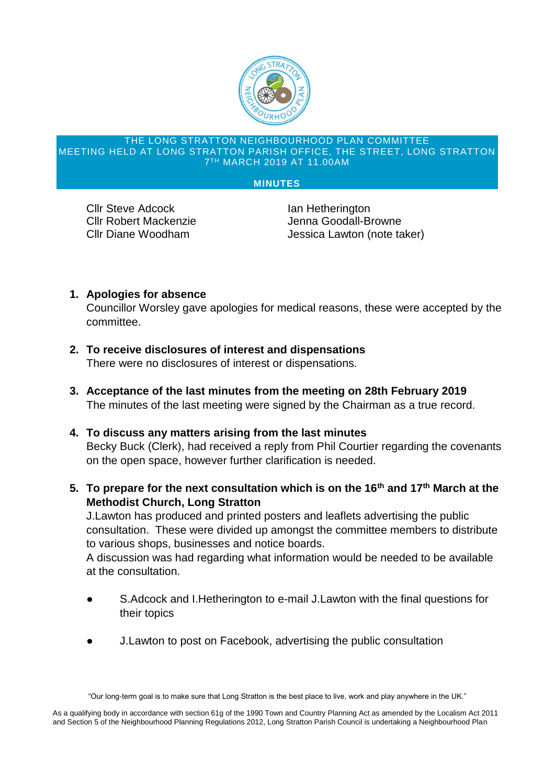

## THE LONG STRATTON NEIGHBOURHOOD PLAN COMMITTEE MEETING HELD AT LONG STRATTON PARISH OFFICE, THE STREET, LONG STRATTON 7 TH MARCH 2019 AT 11.00AM

## **MINUTES**

**Cllr Steve Adcock Ian Hetherington** 

Cllr Robert Mackenzie Jenna Goodall-Browne Cllr Diane Woodham Jessica Lawton (note taker)

## **1. Apologies for absence**

Councillor Worsley gave apologies for medical reasons, these were accepted by the committee.

- **2. To receive disclosures of interest and dispensations** There were no disclosures of interest or dispensations.
- **3. Acceptance of the last minutes from the meeting on 28th February 2019** The minutes of the last meeting were signed by the Chairman as a true record.
- **4. To discuss any matters arising from the last minutes** Becky Buck (Clerk), had received a reply from Phil Courtier regarding the covenants on the open space, however further clarification is needed.
- **5. To prepare for the next consultation which is on the 16th and 17th March at the Methodist Church, Long Stratton**

J.Lawton has produced and printed posters and leaflets advertising the public consultation. These were divided up amongst the committee members to distribute to various shops, businesses and notice boards.

A discussion was had regarding what information would be needed to be available at the consultation.

- S.Adcock and I.Hetherington to e-mail J.Lawton with the final questions for their topics
- J.Lawton to post on Facebook, advertising the public consultation

<sup>&</sup>quot;Our long-term goal is to make sure that Long Stratton is the best place to live, work and play anywhere in the UK."